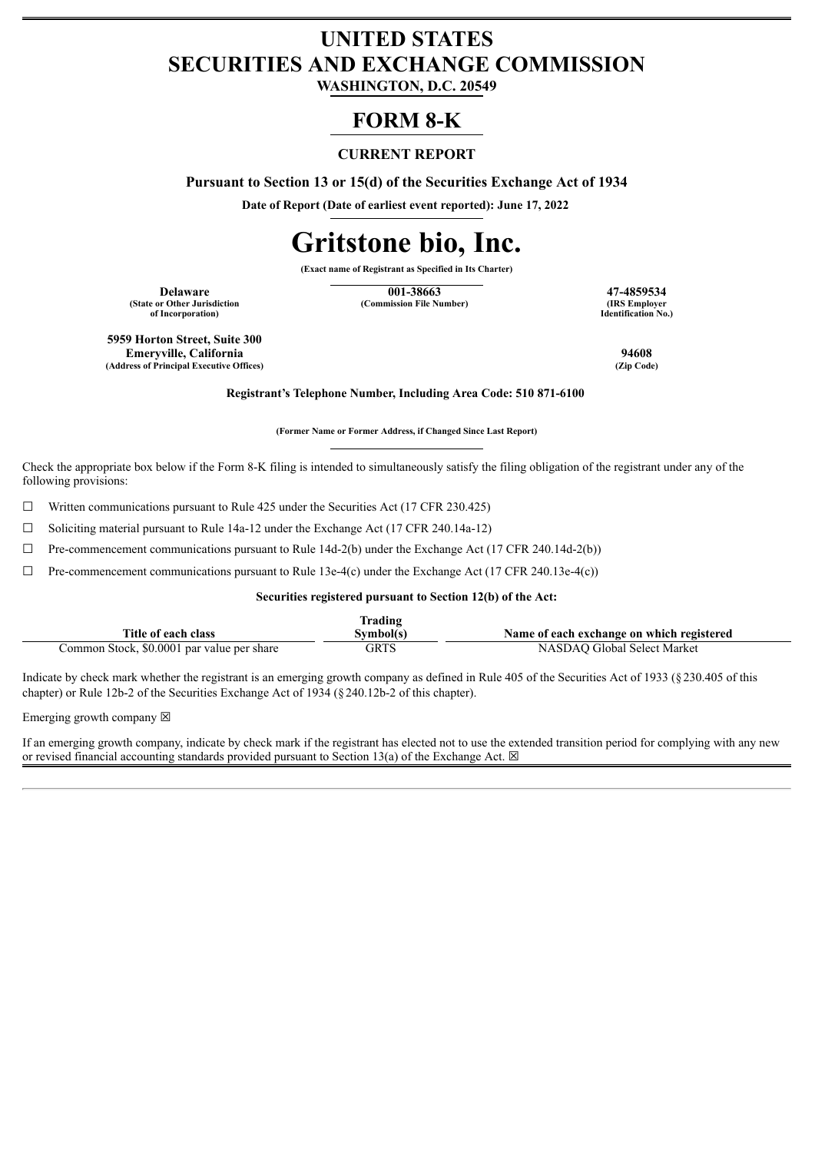## **UNITED STATES SECURITIES AND EXCHANGE COMMISSION**

**WASHINGTON, D.C. 20549**

### **FORM 8-K**

#### **CURRENT REPORT**

**Pursuant to Section 13 or 15(d) of the Securities Exchange Act of 1934**

**Date of Report (Date of earliest event reported): June 17, 2022**

# **Gritstone bio, Inc.**

**(Exact name of Registrant as Specified in Its Charter)**

**(State or Other Jurisdiction of Incorporation)**

**Delaware 17-4859534**<br> **17-4859534**<br> **17-4859534**<br> **188 Employer 1988**<br> **188 Employer (Commission File Number)** 

**Identification No.)**

**5959 Horton Street, Suite 300 Emeryville, California 94608 (Address of Principal Executive Offices) (Zip Code)**

**Registrant's Telephone Number, Including Area Code: 510 871-6100**

**(Former Name or Former Address, if Changed Since Last Report)**

Check the appropriate box below if the Form 8-K filing is intended to simultaneously satisfy the filing obligation of the registrant under any of the following provisions:

 $\Box$  Written communications pursuant to Rule 425 under the Securities Act (17 CFR 230.425)

☐ Soliciting material pursuant to Rule 14a-12 under the Exchange Act (17 CFR 240.14a-12)

 $\Box$  Pre-commencement communications pursuant to Rule 14d-2(b) under the Exchange Act (17 CFR 240.14d-2(b))

 $\Box$  Pre-commencement communications pursuant to Rule 13e-4(c) under the Exchange Act (17 CFR 240.13e-4(c))

#### **Securities registered pursuant to Section 12(b) of the Act:**

| lrading                                    |           |                                           |  |  |  |
|--------------------------------------------|-----------|-------------------------------------------|--|--|--|
| Title of each class                        | Svmbol(s` | Name of each exchange on which registered |  |  |  |
| Common Stock, \$0.0001 par value per share | GRTS      | NASDAO Global Select Market               |  |  |  |

Indicate by check mark whether the registrant is an emerging growth company as defined in Rule 405 of the Securities Act of 1933 (§230.405 of this chapter) or Rule 12b-2 of the Securities Exchange Act of 1934 (§240.12b-2 of this chapter).

Emerging growth company  $\boxtimes$ 

If an emerging growth company, indicate by check mark if the registrant has elected not to use the extended transition period for complying with any new or revised financial accounting standards provided pursuant to Section 13(a) of the Exchange Act.  $\boxtimes$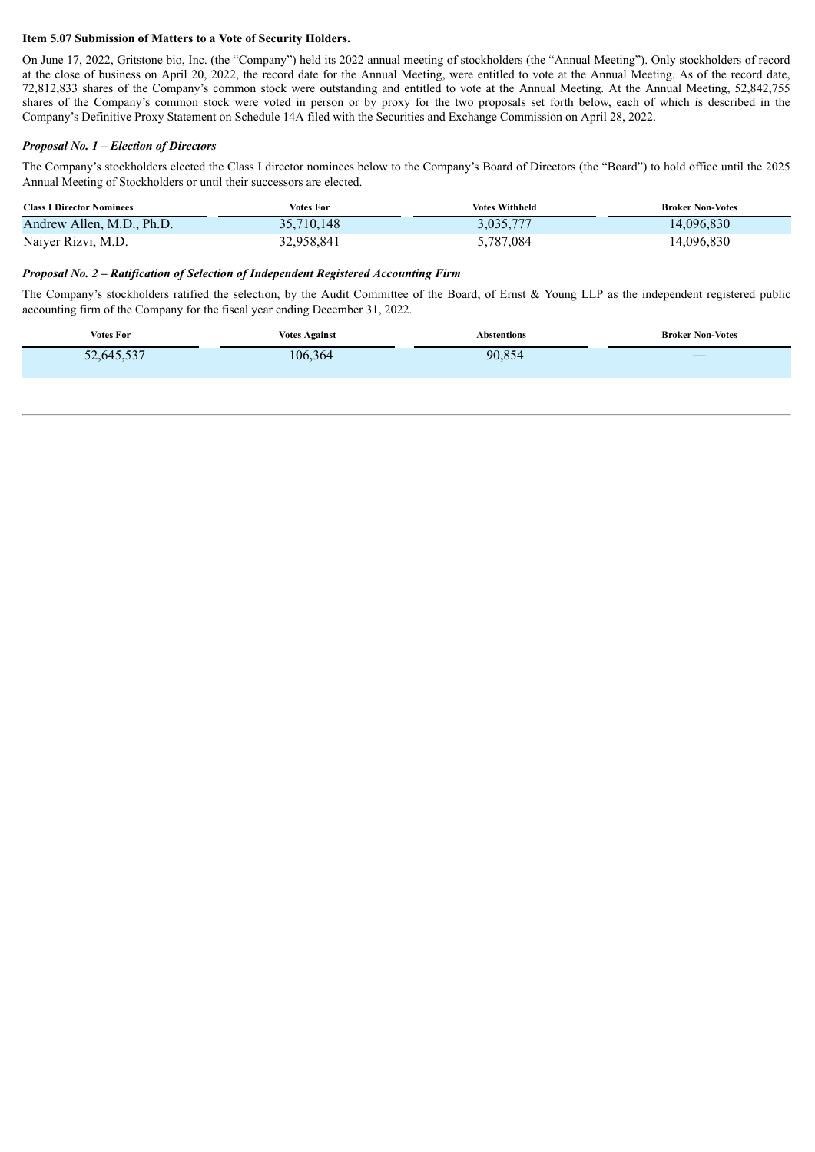#### **Item 5.07 Submission of Matters to a Vote of Security Holders.**

On June 17, 2022, Gritstone bio, Inc. (the "Company") held its 2022 annual meeting of stockholders (the "Annual Meeting"). Only stockholders of record at the close of business on April 20, 2022, the record date for the Annual Meeting, were entitled to vote at the Annual Meeting. As of the record date, 72,812,833 shares of the Company's common stock were outstanding and entitled to vote at the Annual Meeting. At the Annual Meeting, 52,842,755 shares of the Company's common stock were voted in person or by proxy for the two proposals set forth below, each of which is described in the Company's Definitive Proxy Statement on Schedule 14A filed with the Securities and Exchange Commission on April 28, 2022.

#### *Proposal No. 1 – Election of Directors*

The Company's stockholders elected the Class I director nominees below to the Company's Board of Directors (the "Board") to hold office until the 2025 Annual Meeting of Stockholders or until their successors are elected.

| <b>Class I Director Nominees</b> | Votes For  | <b>Votes Withheld</b> | <b>Broker Non-Votes</b> |
|----------------------------------|------------|-----------------------|-------------------------|
| Andrew Allen, M.D., Ph.D.        | 35,710,148 | 3,035,777             | 14,096,830              |
| Naiyer Rizvi, M.D.               | 32,958,841 | 5,787,084             | 14,096,830              |

#### *Proposal No. 2 – Ratification of Selection of Independent Registered Accounting Firm*

The Company's stockholders ratified the selection, by the Audit Committee of the Board, of Ernst & Young LLP as the independent registered public accounting firm of the Company for the fiscal year ending December 31, 2022.

| <b>Votes For</b> | <b>Votes Against</b> | <b>Abstentions</b> | <b>Broker Non-Votes</b>     |
|------------------|----------------------|--------------------|-----------------------------|
| 52,645,537       | 106,364              | 90,854             | $\overbrace{\hspace{15em}}$ |
|                  |                      |                    |                             |